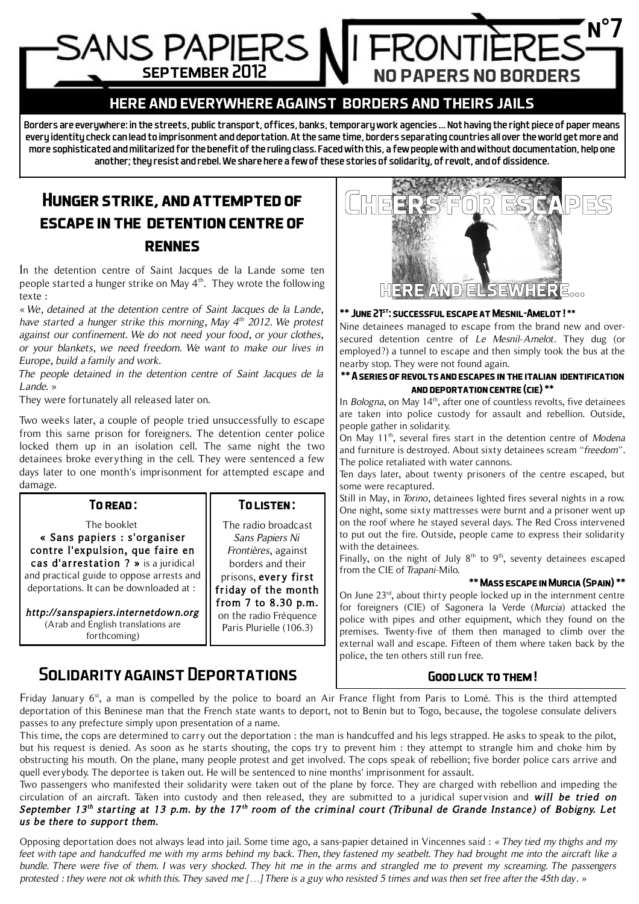# n°7 SANS PAPIERS september 2012 no papers no borders

## here and everywhere against borders and theirs jails

Borders are everywhere: in the streets, public transport, offices, banks, temporary work agencies … Not having the right piece of paper means every identity check can lead to imprisonment and deportation. At the same time, borders separating countries all over the world get more and more sophisticated and militarized for the benefit of the ruling class. Faced with this, a few people with and without documentation, help one another; they resist and rebel. We share here a few of these stories of solidarity, of revolt, and of dissidence.

# **Hunger strike, and attempted of escape in the detention centre of rennes**

In the detention centre of Saint Jacques de la Lande some ten people started a hunger strike on May 4<sup>th</sup>. They wrote the following texte :

« We, detained at the detention centre of Saint Jacques de la Lande, have started a hunger strike this morning, May  $4<sup>th</sup>$  2012. We protest against our confinement. We do not need your food, or your clothes, or your blankets, we need freedom. We want to make our lives in Europe, build a family and work.

The people detained in the detention centre of Saint Jacques de la Lande »

They were fortunately all released later on.

Two weeks later, a couple of people tried unsuccessfully to escape from this same prison for foreigners. The detention center police locked them up in an isolation cell. The same night the two detainees broke everything in the cell. They were sentenced a few days later to one month's imprisonment for attempted escape and damage.

| TO READ:                                                                                                                                                                                                                                                                                                     | TO LISTEN:                                                                                                                                                                                                    |
|--------------------------------------------------------------------------------------------------------------------------------------------------------------------------------------------------------------------------------------------------------------------------------------------------------------|---------------------------------------------------------------------------------------------------------------------------------------------------------------------------------------------------------------|
| The booklet<br>« Sans papiers : s'organiser<br>contre l'expulsion, que faire en<br>cas d'arrestation ? » is a juridical<br>and practical guide to oppose arrests and<br>deportations. It can be downloaded at :<br>http://sanspapiers.internetdown.org<br>(Arab and English translations are<br>forthcoming) | The radio broadcast<br>Sans Papiers Ni<br>Frontières, against<br>borders and their<br>prisons, every first<br>friday of the month<br>from 7 to 8.30 p.m.<br>on the radio Fréquence<br>Paris Plurielle (106.3) |
|                                                                                                                                                                                                                                                                                                              |                                                                                                                                                                                                               |

Solidarity against Deportations



Nine detainees managed to escape from the brand new and oversecured detention centre of Le Mesnil-Amelot. They dug (or employed?) a tunnel to escape and then simply took the bus at the nearby stop. They were not found again.

#### **\*\* A series of revolts and escapes in the italian identification and deportation centre (cie) \*\***

In Bologna, on May 14<sup>th</sup>, after one of countless revolts, five detainees are taken into police custody for assault and rebellion. Outside, people gather in solidarity.

On May 11<sup>th</sup>, several fires start in the detention centre of Modena and furniture is destroyed. About sixty detainees scream "freedom". The police retaliated with water cannons.

Ten days later, about twenty prisoners of the centre escaped, but some were recaptured.

Still in May, in Torino, detainees lighted fires several nights in a row. One night, some sixty mattresses were burnt and a prisoner went up on the roof where he stayed several days. The Red Cross intervened to put out the fire. Outside, people came to express their solidarity with the detainees.

Finally, on the night of July  $8<sup>th</sup>$  to  $9<sup>th</sup>$ , seventy detainees escaped from the CIE of Trapani-Milo.

### **\*\* Mass escape in Murcia (Spain) \*\***

On June 23rd, about thirty people locked up in the internment centre for foreigners (CIE) of Sagonera la Verde (Murcia) attacked the police with pipes and other equipment, which they found on the premises. Twenty-five of them then managed to climb over the external wall and escape. Fifteen of them where taken back by the police, the ten others still run free.

### **Good luck to them !**

Friday January 6<sup>st</sup>, a man is compelled by the police to board an Air France flight from Paris to Lomé. This is the third attempted deportation of this Beninese man that the French state wants to deport, not to Benin but to Togo, because, the togolese consulate delivers passes to any prefecture simply upon presentation of a name.

This time, the cops are determined to carry out the deportation : the man is handcuffed and his legs strapped. He asks to speak to the pilot, but his request is denied. As soon as he starts shouting, the cops try to prevent him : they attempt to strangle him and choke him by obstructing his mouth. On the plane, many people protest and get involved. The cops speak of rebellion; five border police cars arrive and quell everybody. The deportee is taken out. He will be sentenced to nine months' imprisonment for assault.

Two passengers who manifested their solidarity were taken out of the plane by force. They are charged with rebellion and impeding the circulation of an aircraft. Taken into custody and then released, they are submitted to a juridical supervision and will be tried on September 13<sup>th</sup> starting at 13 p.m. by the 17<sup>th</sup> room of the criminal court (Tribunal de Grande Instance) of Bobigny. Let us be there to support them.

Opposing deportation does not always lead into jail. Some time ago, a sans-papier detained in Vincennes said : « They tied my thighs and my feet with tape and handcuffed me with my arms behind my back. Then, they fastened my seatbelt. They had brought me into the aircraft like a bundle. There were five of them. I was very shocked. They hit me in the arms and strangled me to prevent my screaming. The passengers protested : they were not ok whith this. They saved me […] There is a guy who resisted 5 times and was then set free after the 45th day. »